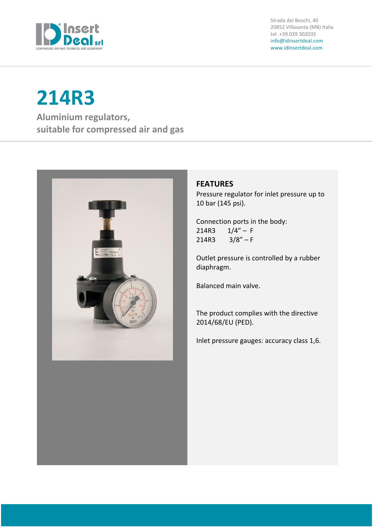

Strada dei Boschi, 40 20852 Villasanta (MB) Italia tel. +39 039 302035 info@idinsertdeal.com www.idinsertdeal.com

# **214R3**

**Aluminium regulators, suitable for compressed air and gas**



## **FEATURES**

Pressure regulator for inlet pressure up to 10 bar (145 psi).

Connection ports in the body: 214R3  $1/4"$  – F  $214R3$   $3/8" - F$ 

Outlet pressure is controlled by a rubber diaphragm.

Balanced main valve.

The product complies with the directive 2014/68/EU (PED).

Inlet pressure gauges: accuracy class 1,6.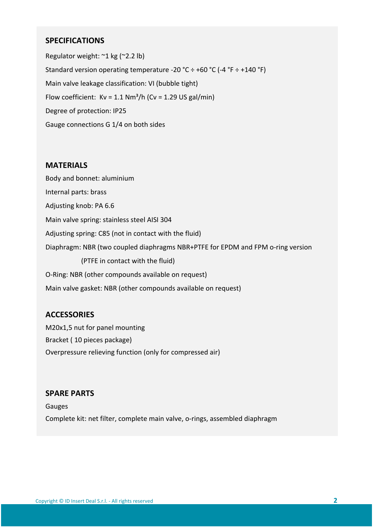## **SPECIFICATIONS**

Regulator weight: ~1 kg (~2.2 lb) Standard version operating temperature -20 °C  $\div$  +60 °C (-4 °F  $\div$  +140 °F) Main valve leakage classification: VI (bubble tight) Flow coefficient:  $Kv = 1.1 Nm<sup>3</sup>/h$  (Cv = 1.29 US gal/min) Degree of protection: IP25 Gauge connections G 1/4 on both sides

## **MATERIALS**

Body and bonnet: aluminium Internal parts: brass Adjusting knob: PA 6.6 Main valve spring: stainless steel AISI 304 Adjusting spring: C85 (not in contact with the fluid) Diaphragm: NBR (two coupled diaphragms NBR+PTFE for EPDM and FPM o-ring version (PTFE in contact with the fluid) O-Ring: NBR (other compounds available on request) Main valve gasket: NBR (other compounds available on request)

## **ACCESSORIES**

M20x1,5 nut for panel mounting Bracket ( 10 pieces package) Overpressure relieving function (only for compressed air)

## **SPARE PARTS**

Gauges Complete kit: net filter, complete main valve, o-rings, assembled diaphragm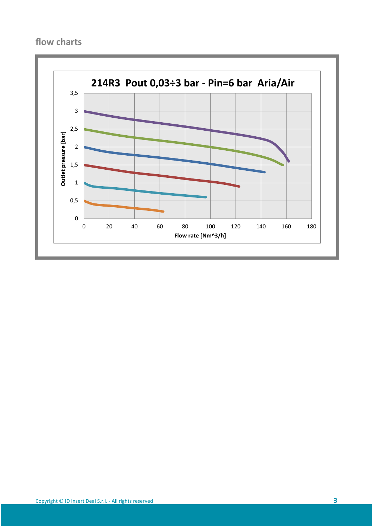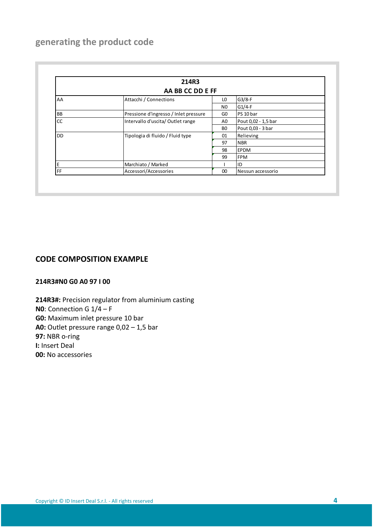# **generating the product code**

| 214R3<br>AA BB CC DD E FF |                                       |                |                     |
|---------------------------|---------------------------------------|----------------|---------------------|
|                           |                                       |                |                     |
|                           |                                       | N <sub>0</sub> | $G1/4-F$            |
| BB                        | Pressione d'ingresso / Inlet pressure | GO             | PS 10 bar           |
| cc                        | Intervallo d'uscita/Outlet range      | A <sub>0</sub> | Pout 0,02 - 1,5 bar |
|                           |                                       | B <sub>0</sub> | Pout 0,03 - 3 bar   |
| <b>DD</b>                 | Tipologia di fluido / Fluid type      | 01             | Relieving           |
|                           |                                       | 97             | <b>NBR</b>          |
|                           |                                       | 98             | <b>EPDM</b>         |
|                           |                                       | 99             | <b>FPM</b>          |
| E                         | Marchiato / Marked                    |                | ID                  |
| FF                        | Accessori/Accessories                 | 00             | Nessun accessorio   |

## **CODE COMPOSITION EXAMPLE**

## **214R3#N0 G0 A0 97 I 00**

**214R3#:** Precision regulator from aluminium casting **N0**: Connection G 1/4 – F **G0:** Maximum inlet pressure 10 bar **A0:** Outlet pressure range 0,02 – 1,5 bar **97:** NBR o-ring **I:** Insert Deal **00:** No accessories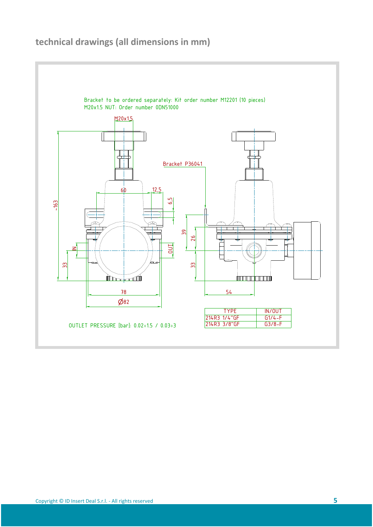